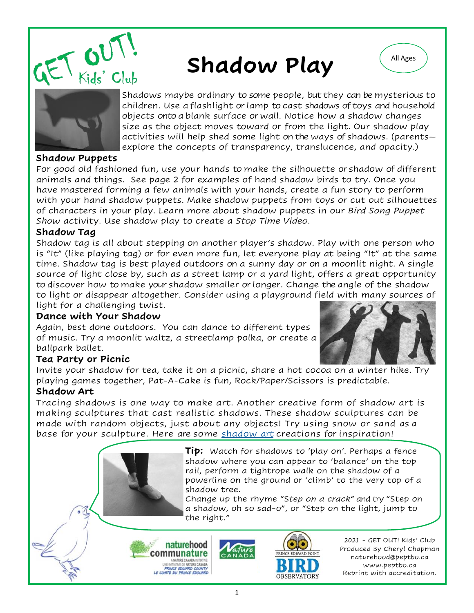

# Shadow Play





Shadows maybe ordinary to some people, but they can be mysterious to children. Use a flashlight or lamp to cast shadows of toys and household objects onto a blank surface or wall. Notice how a shadow changes size as the object moves toward or from the light. Our shadow play activities will help shed some light on the ways of shadows. (parents explore the concepts of transparency, translucence, and opacity.)

#### **Shadow Puppets**

For good old fashioned fun, use your hands to make the silhouette or shadow of different animals and things. See page 2 for examples of hand shadow birds to try. Once you have mastered forming a few animals with your hands, create a fun story to perform with your hand shadow puppets. Make shadow puppets from toys or cut out silhouettes of characters in your play. Learn more about shadow puppets in our *Bird Song Puppet Show* activity. Use shadow play to create a *Stop Time Video*.

#### **Shadow Tag**

Shadow tag is all about stepping on another player's shadow. Play with one person who is "It" (like playing tag) or for even more fun, let everyone play at being "It" at the same time. Shadow tag is best played outdoors on a sunny day or on a moonlit night. A single source of light close by, such as a street lamp or a yard light, offers a great opportunity to discover how to make your shadow smaller or longer. Change the angle of the shadow to light or disappear altogether. Consider using a playground field with many sources of light for a challenging twist.

#### **Dance with Your Shadow**

Again, best done outdoors. You can dance to different types of music. Try a moonlit waltz, a streetlamp polka, or create a ballpark ballet.



## **Tea Party or Picnic**

Invite your shadow for tea, take it on a picnic, share a hot cocoa on a winter hike. Try playing games together, Pat-A-Cake is fun, Rock/Paper/Scissors is predictable.

## **Shadow Art**

Tracing shadows is one way to make art. Another creative form of shadow art is making sculptures that cast realistic shadows. These shadow sculptures can be made with random objects, just about any objects! Try using snow or sand as a base for your sculpture. Here are some [shadow art](https://youtu.be/xislhuE1x1I) creations for inspiration!

> **Tip:** Watch for shadows to 'play on'. Perhaps a fence shadow where you can appear to 'balance' on the top rail, perform a tightrope walk on the shadow of a powerline on the ground or 'climb' to the very top of a shadow tree.

> Change up the rhyme "S*tep on a crack*" and try "Step on a shadow, oh so sad-o", or "Step on the light, jump to the right."





2021 - GET OUT! Kids' Club Produced By Cheryl Chapman naturehood@peptbo.ca www.peptbo.ca Reprint with accreditation.